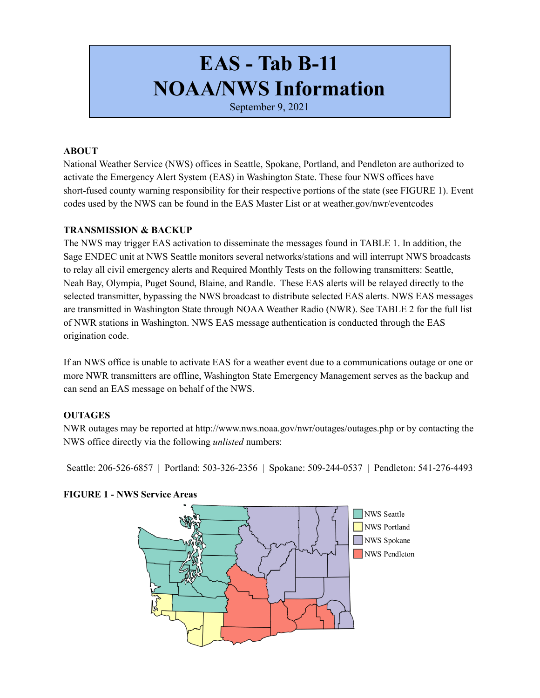# **EAS - Tab B-11 NOAA/NWS Information**

September 9, 2021

#### **ABOUT**

National Weather Service (NWS) offices in Seattle, Spokane, Portland, and Pendleton are authorized to activate the Emergency Alert System (EAS) in Washington State. These four NWS offices have short-fused county warning responsibility for their respective portions of the state (see FIGURE 1). Event codes used by the NWS can be found in the EAS Master List or at weather.gov/nwr/eventcodes

### **TRANSMISSION & BACKUP**

The NWS may trigger EAS activation to disseminate the messages found in TABLE 1. In addition, the Sage ENDEC unit at NWS Seattle monitors several networks/stations and will interrupt NWS broadcasts to relay all civil emergency alerts and Required Monthly Tests on the following transmitters: Seattle, Neah Bay, Olympia, Puget Sound, Blaine, and Randle. These EAS alerts will be relayed directly to the selected transmitter, bypassing the NWS broadcast to distribute selected EAS alerts. NWS EAS messages are transmitted in Washington State through NOAA Weather Radio (NWR). See TABLE 2 for the full list of NWR stations in Washington. NWS EAS message authentication is conducted through the EAS origination code.

If an NWS office is unable to activate EAS for a weather event due to a communications outage or one or more NWR transmitters are offline, Washington State Emergency Management serves as the backup and can send an EAS message on behalf of the NWS.

## **OUTAGES**

NWR outages may be reported at http://www.nws.noaa.gov/nwr/outages/outages.php or by contacting the NWS office directly via the following *unlisted* numbers:

Seattle: 206-526-6857 | Portland: 503-326-2356 | Spokane: 509-244-0537 | Pendleton: 541-276-4493



## **FIGURE 1 - NWS Service Areas**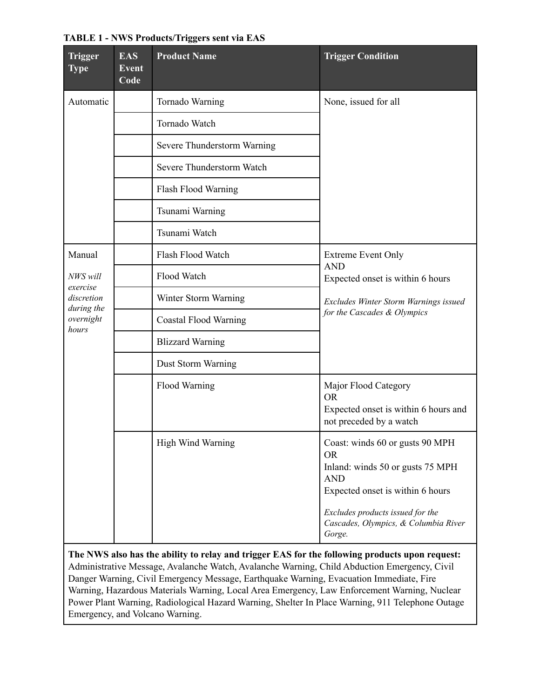| Trigger<br><b>Type</b>                                                           | <b>EAS</b><br><b>Event</b><br>Code | <b>Product Name</b>          | <b>Trigger Condition</b>                                                                                                                                                                                                 |  |
|----------------------------------------------------------------------------------|------------------------------------|------------------------------|--------------------------------------------------------------------------------------------------------------------------------------------------------------------------------------------------------------------------|--|
| Automatic                                                                        |                                    | Tornado Warning              | None, issued for all                                                                                                                                                                                                     |  |
|                                                                                  |                                    | Tornado Watch                |                                                                                                                                                                                                                          |  |
|                                                                                  |                                    | Severe Thunderstorm Warning  |                                                                                                                                                                                                                          |  |
|                                                                                  |                                    | Severe Thunderstorm Watch    |                                                                                                                                                                                                                          |  |
|                                                                                  |                                    | Flash Flood Warning          |                                                                                                                                                                                                                          |  |
|                                                                                  |                                    | Tsunami Warning              |                                                                                                                                                                                                                          |  |
|                                                                                  |                                    | Tsunami Watch                |                                                                                                                                                                                                                          |  |
| Manual<br>NWS will<br>exercise<br>discretion<br>during the<br>overnight<br>hours |                                    | Flash Flood Watch            | <b>Extreme Event Only</b>                                                                                                                                                                                                |  |
|                                                                                  |                                    | Flood Watch                  | <b>AND</b><br>Expected onset is within 6 hours<br>Excludes Winter Storm Warnings issued<br>for the Cascades & Olympics                                                                                                   |  |
|                                                                                  |                                    | Winter Storm Warning         |                                                                                                                                                                                                                          |  |
|                                                                                  |                                    | <b>Coastal Flood Warning</b> |                                                                                                                                                                                                                          |  |
|                                                                                  |                                    | <b>Blizzard Warning</b>      |                                                                                                                                                                                                                          |  |
|                                                                                  |                                    | Dust Storm Warning           |                                                                                                                                                                                                                          |  |
|                                                                                  |                                    | Flood Warning                | Major Flood Category<br><b>OR</b><br>Expected onset is within 6 hours and<br>not preceded by a watch                                                                                                                     |  |
|                                                                                  |                                    | High Wind Warning            | Coast: winds 60 or gusts 90 MPH<br><b>OR</b><br>Inland: winds 50 or gusts 75 MPH<br><b>AND</b><br>Expected onset is within 6 hours<br>Excludes products issued for the<br>Cascades, Olympics, & Columbia River<br>Gorge. |  |

#### **TABLE 1 - NWS Products/Triggers sent via EAS**

**The NWS also has the ability to relay and trigger EAS for the following products upon request:** Administrative Message, Avalanche Watch, Avalanche Warning, Child Abduction Emergency, Civil Danger Warning, Civil Emergency Message, Earthquake Warning, Evacuation Immediate, Fire Warning, Hazardous Materials Warning, Local Area Emergency, Law Enforcement Warning, Nuclear Power Plant Warning, Radiological Hazard Warning, Shelter In Place Warning, 911 Telephone Outage Emergency, and Volcano Warning.